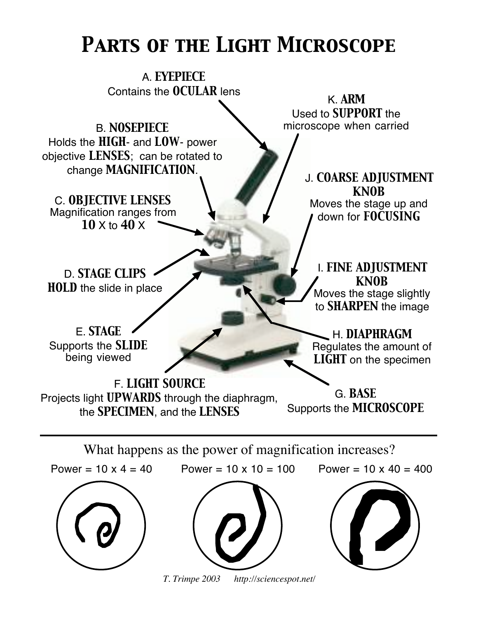## *Parts of the Light Microscope*

A. *EYEPIECE* Contains the *OCULAR* lens

B. **NOSEPIECE NOSEPIECE n**icroscope when carried Holds the *HIGH*- and *LOW*- power objective *LENSES*; can be rotated to change *MAGNIFICATION*.

C. *OBJECTIVE LENSES* Magnification ranges from *10* X to *40* X

K. *ARM* Used to *SUPPORT* the

> J. *COARSE ADJUSTMENT KNOB* Moves the stage up and

down for *FOCUSING*

I. *FINE ADJUSTMENT KNOB* Moves the stage slightly to *SHARPEN* the image

H. *DIAPHRAGM* Regulates the amount of *LIGHT* on the specimen

D. *STAGE CLIPS HOLD* the slide in place

E. *STAGE* Supports the *SLIDE* being viewed

F. *LIGHT SOURCE* Projects light *UPWARDS* through the diaphragm, the *SPECIMEN*, and the *LENSES*

G. *BASE* Supports the *MICROSCOPE*

What happens as the power of magnification increases?



*T. Trimpe 2003 http://sciencespot.net/*